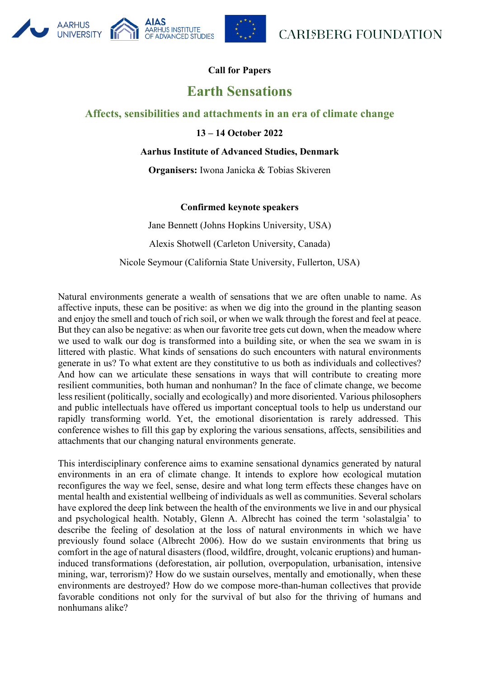

## **UNIVERSITY** OF ADVANCED STUDIES

**AARHUS** 

# **Call for Papers**

# **Earth Sensations**

## **Affects, sensibilities and attachments in an era of climate change**

## **13 – 14 October 2022**

#### **Aarhus Institute of Advanced Studies, Denmark**

**Organisers:** Iwona Janicka & Tobias Skiveren

### **Confirmed keynote speakers**

Jane Bennett (Johns Hopkins University, USA) Alexis Shotwell (Carleton University, Canada) Nicole Seymour (California State University, Fullerton, USA)

Natural environments generate a wealth of sensations that we are often unable to name. As affective inputs, these can be positive: as when we dig into the ground in the planting season and enjoy the smell and touch of rich soil, or when we walk through the forest and feel at peace. But they can also be negative: as when our favorite tree gets cut down, when the meadow where we used to walk our dog is transformed into a building site, or when the sea we swam in is littered with plastic. What kinds of sensations do such encounters with natural environments generate in us? To what extent are they constitutive to us both as individuals and collectives? And how can we articulate these sensations in ways that will contribute to creating more resilient communities, both human and nonhuman? In the face of climate change, we become less resilient (politically, socially and ecologically) and more disoriented. Various philosophers and public intellectuals have offered us important conceptual tools to help us understand our rapidly transforming world. Yet, the emotional disorientation is rarely addressed. This conference wishes to fill this gap by exploring the various sensations, affects, sensibilities and attachments that our changing natural environments generate.

This interdisciplinary conference aims to examine sensational dynamics generated by natural environments in an era of climate change. It intends to explore how ecological mutation reconfigures the way we feel, sense, desire and what long term effects these changes have on mental health and existential wellbeing of individuals as well as communities. Several scholars have explored the deep link between the health of the environments we live in and our physical and psychological health. Notably, Glenn A. Albrecht has coined the term 'solastalgia' to describe the feeling of desolation at the loss of natural environments in which we have previously found solace (Albrecht 2006). How do we sustain environments that bring us comfort in the age of natural disasters (flood, wildfire, drought, volcanic eruptions) and humaninduced transformations (deforestation, air pollution, overpopulation, urbanisation, intensive mining, war, terrorism)? How do we sustain ourselves, mentally and emotionally, when these environments are destroyed? How do we compose more-than-human collectives that provide favorable conditions not only for the survival of but also for the thriving of humans and nonhumans alike?